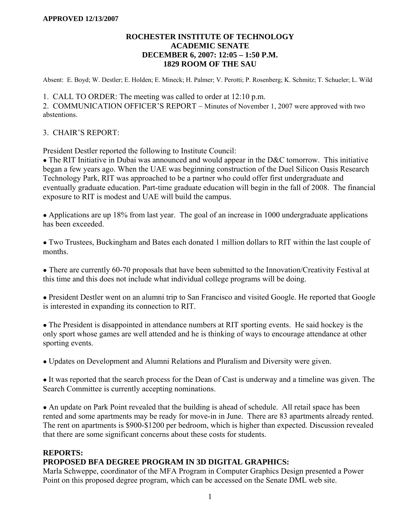### **ROCHESTER INSTITUTE OF TECHNOLOGY ACADEMIC SENATE DECEMBER 6, 2007: 12:05 – 1:50 P.M. 1829 ROOM OF THE SAU**

Absent: E. Boyd; W. Destler; E. Holden; E. Mineck; H. Palmer; V. Perotti; P. Rosenberg; K. Schmitz; T. Schueler; L. Wild

1. CALL TO ORDER: The meeting was called to order at 12:10 p.m.

2. COMMUNICATION OFFICER'S REPORT – Minutes of November 1, 2007 were approved with two abstentions.

### 3. CHAIR'S REPORT:

President Destler reported the following to Institute Council:

• The RIT Initiative in Dubai was announced and would appear in the D&C tomorrow. This initiative began a few years ago. When the UAE was beginning construction of the Duel Silicon Oasis Research Technology Park, RIT was approached to be a partner who could offer first undergraduate and eventually graduate education. Part-time graduate education will begin in the fall of 2008. The financial exposure to RIT is modest and UAE will build the campus.

• Applications are up 18% from last year. The goal of an increase in 1000 undergraduate applications has been exceeded.

● Two Trustees, Buckingham and Bates each donated 1 million dollars to RIT within the last couple of months.

• There are currently 60-70 proposals that have been submitted to the Innovation/Creativity Festival at this time and this does not include what individual college programs will be doing.

• President Destler went on an alumni trip to San Francisco and visited Google. He reported that Google is interested in expanding its connection to RIT.

• The President is disappointed in attendance numbers at RIT sporting events. He said hockey is the only sport whose games are well attended and he is thinking of ways to encourage attendance at other sporting events.

● Updates on Development and Alumni Relations and Pluralism and Diversity were given.

• It was reported that the search process for the Dean of Cast is underway and a timeline was given. The Search Committee is currently accepting nominations.

• An update on Park Point revealed that the building is ahead of schedule. All retail space has been rented and some apartments may be ready for move-in in June. There are 83 apartments already rented. The rent on apartments is \$900-\$1200 per bedroom, which is higher than expected. Discussion revealed that there are some significant concerns about these costs for students.

### **REPORTS:**

### **PROPOSED BFA DEGREE PROGRAM IN 3D DIGITAL GRAPHICS:**

Marla Schweppe, coordinator of the MFA Program in Computer Graphics Design presented a Power Point on this proposed degree program, which can be accessed on the Senate DML web site.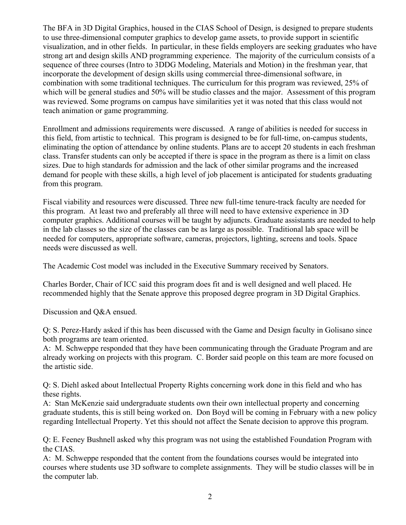The BFA in 3D Digital Graphics, housed in the CIAS School of Design, is designed to prepare students to use three-dimensional computer graphics to develop game assets, to provide support in scientific visualization, and in other fields. In particular, in these fields employers are seeking graduates who have strong art and design skills AND programming experience. The majority of the curriculum consists of a sequence of three courses (Intro to 3DDG Modeling, Materials and Motion) in the freshman year, that incorporate the development of design skills using commercial three-dimensional software, in combination with some traditional techniques. The curriculum for this program was reviewed, 25% of which will be general studies and 50% will be studio classes and the major. Assessment of this program was reviewed. Some programs on campus have similarities yet it was noted that this class would not teach animation or game programming.

Enrollment and admissions requirements were discussed. A range of abilities is needed for success in this field, from artistic to technical. This program is designed to be for full-time, on-campus students, eliminating the option of attendance by online students. Plans are to accept 20 students in each freshman class. Transfer students can only be accepted if there is space in the program as there is a limit on class sizes. Due to high standards for admission and the lack of other similar programs and the increased demand for people with these skills, a high level of job placement is anticipated for students graduating from this program.

Fiscal viability and resources were discussed. Three new full-time tenure-track faculty are needed for this program. At least two and preferably all three will need to have extensive experience in 3D computer graphics. Additional courses will be taught by adjuncts. Graduate assistants are needed to help in the lab classes so the size of the classes can be as large as possible. Traditional lab space will be needed for computers, appropriate software, cameras, projectors, lighting, screens and tools. Space needs were discussed as well.

The Academic Cost model was included in the Executive Summary received by Senators.

Charles Border, Chair of ICC said this program does fit and is well designed and well placed. He recommended highly that the Senate approve this proposed degree program in 3D Digital Graphics.

Discussion and Q&A ensued.

Q: S. Perez-Hardy asked if this has been discussed with the Game and Design faculty in Golisano since both programs are team oriented.

A: M. Schweppe responded that they have been communicating through the Graduate Program and are already working on projects with this program. C. Border said people on this team are more focused on the artistic side.

Q: S. Diehl asked about Intellectual Property Rights concerning work done in this field and who has these rights.

A: Stan McKenzie said undergraduate students own their own intellectual property and concerning graduate students, this is still being worked on. Don Boyd will be coming in February with a new policy regarding Intellectual Property. Yet this should not affect the Senate decision to approve this program.

Q: E. Feeney Bushnell asked why this program was not using the established Foundation Program with the CIAS.

A: M. Schweppe responded that the content from the foundations courses would be integrated into courses where students use 3D software to complete assignments. They will be studio classes will be in the computer lab.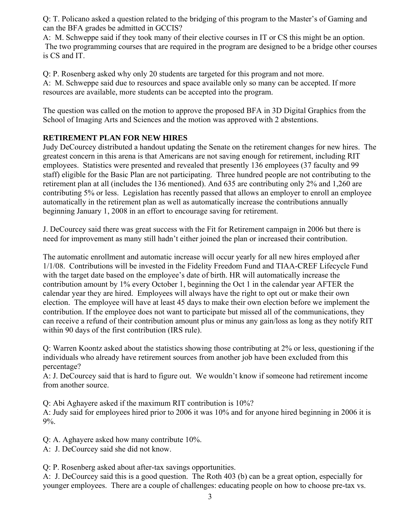Q: T. Policano asked a question related to the bridging of this program to the Master's of Gaming and can the BFA grades be admitted in GCCIS?

A: M. Schweppe said if they took many of their elective courses in IT or CS this might be an option. The two programming courses that are required in the program are designed to be a bridge other courses is CS and IT.

Q: P. Rosenberg asked why only 20 students are targeted for this program and not more. A: M. Schweppe said due to resources and space available only so many can be accepted. If more resources are available, more students can be accepted into the program.

The question was called on the motion to approve the proposed BFA in 3D Digital Graphics from the School of Imaging Arts and Sciences and the motion was approved with 2 abstentions.

# **RETIREMENT PLAN FOR NEW HIRES**

Judy DeCourcey distributed a handout updating the Senate on the retirement changes for new hires. The greatest concern in this arena is that Americans are not saving enough for retirement, including RIT employees. Statistics were presented and revealed that presently 136 employees (37 faculty and 99 staff) eligible for the Basic Plan are not participating. Three hundred people are not contributing to the retirement plan at all (includes the 136 mentioned). And 635 are contributing only 2% and 1,260 are contributing 5% or less. Legislation has recently passed that allows an employer to enroll an employee automatically in the retirement plan as well as automatically increase the contributions annually beginning January 1, 2008 in an effort to encourage saving for retirement.

J. DeCourcey said there was great success with the Fit for Retirement campaign in 2006 but there is need for improvement as many still hadn't either joined the plan or increased their contribution.

The automatic enrollment and automatic increase will occur yearly for all new hires employed after 1/1/08. Contributions will be invested in the Fidelity Freedom Fund and TIAA-CREF Lifecycle Fund with the target date based on the employee's date of birth. HR will automatically increase the contribution amount by 1% every October 1, beginning the Oct 1 in the calendar year AFTER the calendar year they are hired. Employees will always have the right to opt out or make their own election. The employee will have at least 45 days to make their own election before we implement the contribution. If the employee does not want to participate but missed all of the communications, they can receive a refund of their contribution amount plus or minus any gain/loss as long as they notify RIT within 90 days of the first contribution (IRS rule).

Q: Warren Koontz asked about the statistics showing those contributing at 2% or less, questioning if the individuals who already have retirement sources from another job have been excluded from this percentage?

A: J. DeCourcey said that is hard to figure out. We wouldn't know if someone had retirement income from another source.

Q: Abi Aghayere asked if the maximum RIT contribution is 10%?

A: Judy said for employees hired prior to 2006 it was 10% and for anyone hired beginning in 2006 it is 9%.

Q: A. Aghayere asked how many contribute 10%.

A: J. DeCourcey said she did not know.

Q: P. Rosenberg asked about after-tax savings opportunities.

A: J. DeCourcey said this is a good question. The Roth 403 (b) can be a great option, especially for younger employees. There are a couple of challenges: educating people on how to choose pre-tax vs.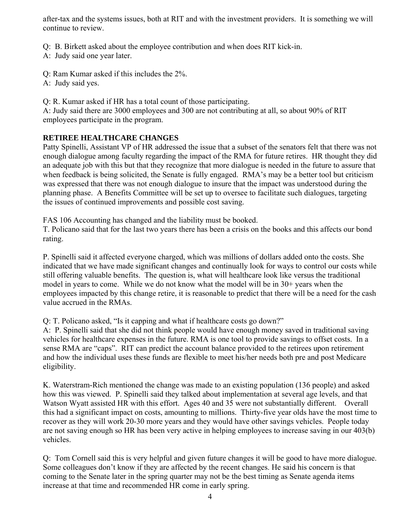after-tax and the systems issues, both at RIT and with the investment providers. It is something we will continue to review.

Q: B. Birkett asked about the employee contribution and when does RIT kick-in.

A: Judy said one year later.

Q: Ram Kumar asked if this includes the 2%.

A: Judy said yes.

Q: R. Kumar asked if HR has a total count of those participating.

A: Judy said there are 3000 employees and 300 are not contributing at all, so about 90% of RIT employees participate in the program.

# **RETIREE HEALTHCARE CHANGES**

Patty Spinelli, Assistant VP of HR addressed the issue that a subset of the senators felt that there was not enough dialogue among faculty regarding the impact of the RMA for future retires. HR thought they did an adequate job with this but that they recognize that more dialogue is needed in the future to assure that when feedback is being solicited, the Senate is fully engaged. RMA's may be a better tool but criticism was expressed that there was not enough dialogue to insure that the impact was understood during the planning phase. A Benefits Committee will be set up to oversee to facilitate such dialogues, targeting the issues of continued improvements and possible cost saving.

FAS 106 Accounting has changed and the liability must be booked.

T. Policano said that for the last two years there has been a crisis on the books and this affects our bond rating.

P. Spinelli said it affected everyone charged, which was millions of dollars added onto the costs. She indicated that we have made significant changes and continually look for ways to control our costs while still offering valuable benefits. The question is, what will healthcare look like versus the traditional model in years to come. While we do not know what the model will be in 30+ years when the employees impacted by this change retire, it is reasonable to predict that there will be a need for the cash value accrued in the RMAs.

Q: T. Policano asked, "Is it capping and what if healthcare costs go down?"

A: P. Spinelli said that she did not think people would have enough money saved in traditional saving vehicles for healthcare expenses in the future. RMA is one tool to provide savings to offset costs. In a sense RMA are "caps". RIT can predict the account balance provided to the retirees upon retirement and how the individual uses these funds are flexible to meet his/her needs both pre and post Medicare eligibility.

K. Waterstram-Rich mentioned the change was made to an existing population (136 people) and asked how this was viewed. P. Spinelli said they talked about implementation at several age levels, and that Watson Wyatt assisted HR with this effort. Ages 40 and 35 were not substantially different. Overall this had a significant impact on costs, amounting to millions. Thirty-five year olds have the most time to recover as they will work 20-30 more years and they would have other savings vehicles. People today are not saving enough so HR has been very active in helping employees to increase saving in our 403(b) vehicles.

Q: Tom Cornell said this is very helpful and given future changes it will be good to have more dialogue. Some colleagues don't know if they are affected by the recent changes. He said his concern is that coming to the Senate later in the spring quarter may not be the best timing as Senate agenda items increase at that time and recommended HR come in early spring.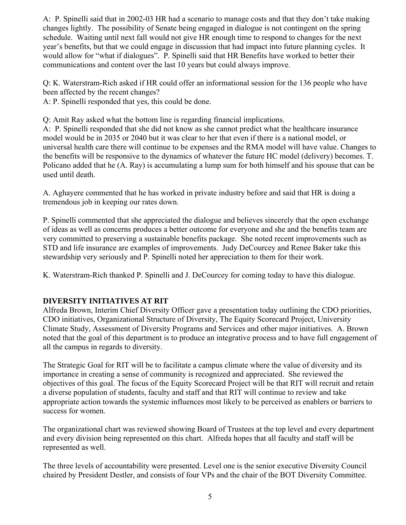A: P. Spinelli said that in 2002-03 HR had a scenario to manage costs and that they don't take making changes lightly. The possibility of Senate being engaged in dialogue is not contingent on the spring schedule. Waiting until next fall would not give HR enough time to respond to changes for the next year's benefits, but that we could engage in discussion that had impact into future planning cycles. It would allow for "what if dialogues". P. Spinelli said that HR Benefits have worked to better their communications and content over the last 10 years but could always improve.

Q: K. Waterstram-Rich asked if HR could offer an informational session for the 136 people who have been affected by the recent changes?

A: P. Spinelli responded that yes, this could be done.

Q: Amit Ray asked what the bottom line is regarding financial implications.

A: P. Spinelli responded that she did not know as she cannot predict what the healthcare insurance model would be in 2035 or 2040 but it was clear to her that even if there is a national model, or universal health care there will continue to be expenses and the RMA model will have value. Changes to the benefits will be responsive to the dynamics of whatever the future HC model (delivery) becomes. T. Policano added that he (A. Ray) is accumulating a lump sum for both himself and his spouse that can be used until death.

A. Aghayere commented that he has worked in private industry before and said that HR is doing a tremendous job in keeping our rates down.

P. Spinelli commented that she appreciated the dialogue and believes sincerely that the open exchange of ideas as well as concerns produces a better outcome for everyone and she and the benefits team are very committed to preserving a sustainable benefits package. She noted recent improvements such as STD and life insurance are examples of improvements. Judy DeCourcey and Renee Baker take this stewardship very seriously and P. Spinelli noted her appreciation to them for their work.

K. Waterstram-Rich thanked P. Spinelli and J. DeCourcey for coming today to have this dialogue.

# **DIVERSITY INITIATIVES AT RIT**

Alfreda Brown, Interim Chief Diversity Officer gave a presentation today outlining the CDO priorities, CDO initiatives, Organizational Structure of Diversity, The Equity Scorecard Project, University Climate Study, Assessment of Diversity Programs and Services and other major initiatives. A. Brown noted that the goal of this department is to produce an integrative process and to have full engagement of all the campus in regards to diversity.

The Strategic Goal for RIT will be to facilitate a campus climate where the value of diversity and its importance in creating a sense of community is recognized and appreciated. She reviewed the objectives of this goal. The focus of the Equity Scorecard Project will be that RIT will recruit and retain a diverse population of students, faculty and staff and that RIT will continue to review and take appropriate action towards the systemic influences most likely to be perceived as enablers or barriers to success for women.

The organizational chart was reviewed showing Board of Trustees at the top level and every department and every division being represented on this chart. Alfreda hopes that all faculty and staff will be represented as well.

The three levels of accountability were presented. Level one is the senior executive Diversity Council chaired by President Destler, and consists of four VPs and the chair of the BOT Diversity Committee.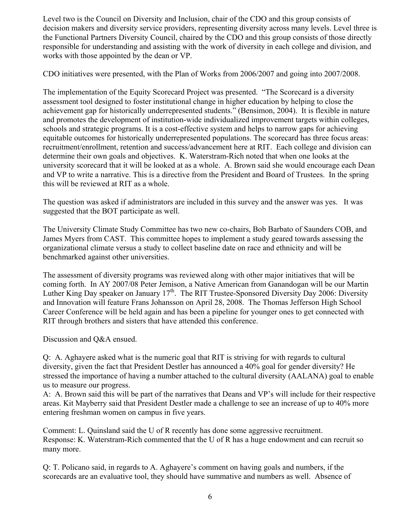Level two is the Council on Diversity and Inclusion, chair of the CDO and this group consists of decision makers and diversity service providers, representing diversity across many levels. Level three is the Functional Partners Diversity Council, chaired by the CDO and this group consists of those directly responsible for understanding and assisting with the work of diversity in each college and division, and works with those appointed by the dean or VP.

CDO initiatives were presented, with the Plan of Works from 2006/2007 and going into 2007/2008.

The implementation of the Equity Scorecard Project was presented. "The Scorecard is a diversity assessment tool designed to foster institutional change in higher education by helping to close the achievement gap for historically underrepresented students." (Bensimon, 2004). It is flexible in nature and promotes the development of institution-wide individualized improvement targets within colleges, schools and strategic programs. It is a cost-effective system and helps to narrow gaps for achieving equitable outcomes for historically underrepresented populations. The scorecard has three focus areas: recruitment/enrollment, retention and success/advancement here at RIT. Each college and division can determine their own goals and objectives. K. Waterstram-Rich noted that when one looks at the university scorecard that it will be looked at as a whole. A. Brown said she would encourage each Dean and VP to write a narrative. This is a directive from the President and Board of Trustees. In the spring this will be reviewed at RIT as a whole.

The question was asked if administrators are included in this survey and the answer was yes. It was suggested that the BOT participate as well.

The University Climate Study Committee has two new co-chairs, Bob Barbato of Saunders COB, and James Myers from CAST. This committee hopes to implement a study geared towards assessing the organizational climate versus a study to collect baseline date on race and ethnicity and will be benchmarked against other universities.

The assessment of diversity programs was reviewed along with other major initiatives that will be coming forth. In AY 2007/08 Peter Jemison, a Native American from Ganandogan will be our Martin Luther King Day speaker on January  $17<sup>th</sup>$ . The RIT Trustee-Sponsored Diversity Day 2006: Diversity and Innovation will feature Frans Johansson on April 28, 2008. The Thomas Jefferson High School Career Conference will be held again and has been a pipeline for younger ones to get connected with RIT through brothers and sisters that have attended this conference.

Discussion and Q&A ensued.

Q: A. Aghayere asked what is the numeric goal that RIT is striving for with regards to cultural diversity, given the fact that President Destler has announced a 40% goal for gender diversity? He stressed the importance of having a number attached to the cultural diversity (AALANA) goal to enable us to measure our progress.

A: A. Brown said this will be part of the narratives that Deans and VP's will include for their respective areas. Kit Mayberry said that President Destler made a challenge to see an increase of up to 40% more entering freshman women on campus in five years.

Comment: L. Quinsland said the U of R recently has done some aggressive recruitment. Response: K. Waterstram-Rich commented that the U of R has a huge endowment and can recruit so many more.

Q: T. Policano said, in regards to A. Aghayere's comment on having goals and numbers, if the scorecards are an evaluative tool, they should have summative and numbers as well. Absence of